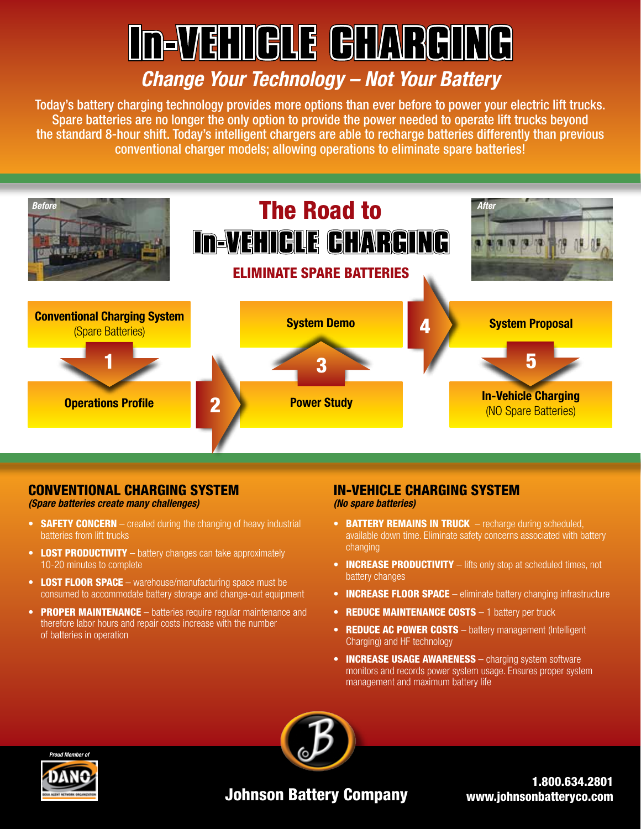# **In-VEHIGLE GHARGING**

## *Change Your Technology – Not Your Battery*

Today's battery charging technology provides more options than ever before to power your electric lift trucks. Spare batteries are no longer the only option to provide the power needed to operate lift trucks beyond the standard 8-hour shift. Today's intelligent chargers are able to recharge batteries differently than previous conventional charger models; allowing operations to eliminate spare batteries!



#### CONVENTIONAL CHARGING SYSTEM

*(Spare batteries create many challenges)*

- **SAFETY CONCERN** created during the changing of heavy industrial batteries from lift trucks
- LOST PRODUCTIVITY battery changes can take approximately 10-20 minutes to complete
- LOST FLOOR SPACE warehouse/manufacturing space must be consumed to accommodate battery storage and change-out equipment
- PROPER MAINTENANCE batteries require reqular maintenance and therefore labor hours and repair costs increase with the number of batteries in operation

#### IN-VEHICLE CHARGING SYSTEM *(No spare batteries)*

- BATTERY REMAINS IN TRUCK recharge during scheduled, available down time. Eliminate safety concerns associated with battery changing
- **INCREASE PRODUCTIVITY** lifts only stop at scheduled times, not battery changes
- **INCREASE FLOOR SPACE** eliminate battery changing infrastructure
- REDUCE MAINTENANCE COSTS 1 battery per truck
- REDUCE AC POWER COSTS battery management (Intelligent Charging) and HF technology
- **INCREASE USAGE AWARENESS** charging system software monitors and records power system usage. Ensures proper system management and maximum battery life





### Johnson Battery Company

1.800.634.2801 www.johnsonbatteryco.com